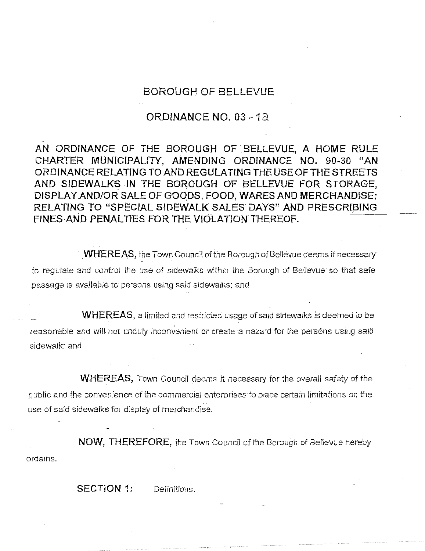## **BOROUGH OF BELLEVUE**

## **ORDINANCE NO. 03** - **18**

**AN ORDINANCE OF THE BOROUGH OF BELLEVUE, A HOME RULE CHARTER MUNICIPAL/TY, AMENDING ORDINANCE NO. 90-30 "AN ORDINANCE RELATING TO AND REGULATING THE USE OF THE STREETS AND SIDEWALKS• IN THE BOROUGH OF BELLEVUE FOR STORAGE,**  DISPLAY AND/OR SALE OF GOODS, FOOD, WARES AND MERCHANDISE; RELATING TO "SPECIAL SIDEWALK SALES DAYS" AND PRESCRIBING **FINES-AND PENAL TIES FOR THE VIOLATION THEREOF.** 

**WHEREAS,** the Town Council of the Borough of Bellevue deems it necessary in to regulate and control the use of sidewalks within the Borough of Bellevue· so that safe passage is available to persons using said sidewalks; and

**WHEREAS.** a limited and restricted usage of said sidewalks is deemed *to* be reasonable and **will** not unduly inconvenient or create a hazard for the persons usrng said sidewalk; and

**WHEREAS,** Town Council deems it necessary for the overall safety of the public and the convenience of the commercial enterprises to place certain limitations on the use of said sidewalks for display of merchandise\_

**NOW, THEREFORE,** the Town Council of the Borough of Bellevue hereby ordains\_

**SECTION 1:** Definitions.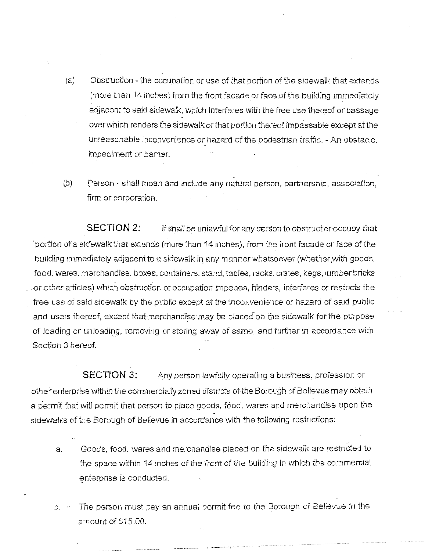- (a) Obstruction the occupation or use of that portion of the siaewalk that extends (more than 14 inches) from the front facade or face of the building immediately adjacent to said sidewalk, which interferes with the free use thereof or passage overwh1ch renders the sidewalk or that portion thereof impassable except at the unreasonable inconvenience or hazard of the pedestnan traffic, - An obstacle, impediment or bamer.
- (bJ Person shall mean and include any natural person, partnership, association, firm or corporation.

**SECTION 2:** It shall be unlawful for any person *to* obstruct or occupy that · portion of a sidewalk that extends (more than 14 inches). from the front facade or face of the building immediately adjacent to a sidewalk in any manner whatsoever (whether with goods, food, wares. merchandise, boxes, containers, stand, tables, racks, crates, kegs, lumber bricks . or .other articles) which obstruction or occupation impedes, hinders, interferes or restncts the free use of said sidewalk by the public except at the inconvenience or hazard of said public and users thereof, except that merchandise may be placed on the sidewalk for the purpose of loading or unloading, removing or storing away of same, and further in accordance with  $\dot{\phantom{a}}$ Section 3 hereof.

**SECTION 3:** Any person lawfully operating a business, profession or other enterprise within the commercially zoned districts of the Borough of Bellevue may obtain a permit that will permit that person to place goods, food, wares and merchandise upon the sidewalks of the Borough of Bellevue in accordance with the following restrictions:

- a. Goods, food, wares and merchandise placed on the sidewalk are restricted to the space within 14 inches of the front of the building ln which the commercial enterpnse is conducted.
- b. The person must pay an annual permit fee to the Borough of Bellevue 1n the amount of \$15.00.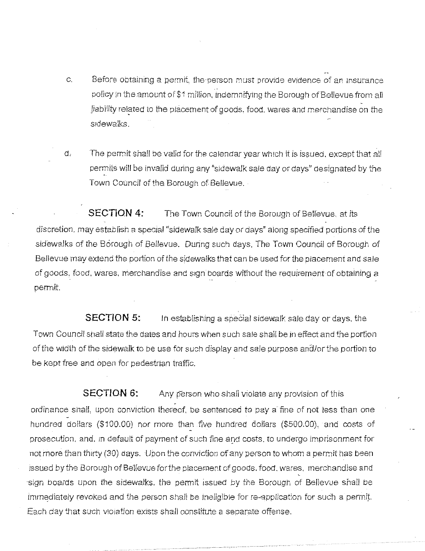- c. Before obtaining a permit, the person must provide evidence of an insurance policy in the amount of \$1 million, indemnifying the Borough of Bellevue from all liability related to the placement of goods, food, wares and merchandise on the sidewalks.
- d; The permit shafl be valid for the calendar year which it is issued. except that all permits will be invalid during any "sidewalk sale day or days" designated by the Town Council of the Borough of Bellevue.

**SECTION 4:** The Town Council of the Borough of Bellevue, at its discretion. may establish a special "sidewalk sale day or days" along specified portions of the sidewalks of the Borough of Bellevue. During such days. The Town Council of Borough of Bellevue may extend the portion of the sidewalks that can be used for the placement and sale of goods, food, wares, merchandise and sign boards without the requirement of obtaining a permit.

**SECTION 5:** In establishing a special sidewalk sale day or days, the Town Council snail state the dates and hours when such sale shall be in effect and the portion of the width of the sidewalk to be use for such display and sale purpose and/or the portion to be kept free and open for pedestrian traffic.

**SECTION 6:** Any person who shall violate any provision of this ordinance shall, upon conviction thereof, be sentenced to pay a fine of not less than one hundred dollars (\$100.00) nor more than .five hundred doflars (\$500.00), and costs of prosecution, and, in default of payment of such fine and costs, to undergo imprisonment for not more than thirty (30) days. Upon the conviction of any person to Whom a permit has been issued by the Borough of Belfevue for the placement of goods. food. wares. merchandise and sign boards upon the sidewalks. the permit issued by the Borough of Bellevue shall be immediately revoked and the person shall be ineligible for re-application for such a permit. Each day that such VIOiation exisrs shall constitute a separate offense .